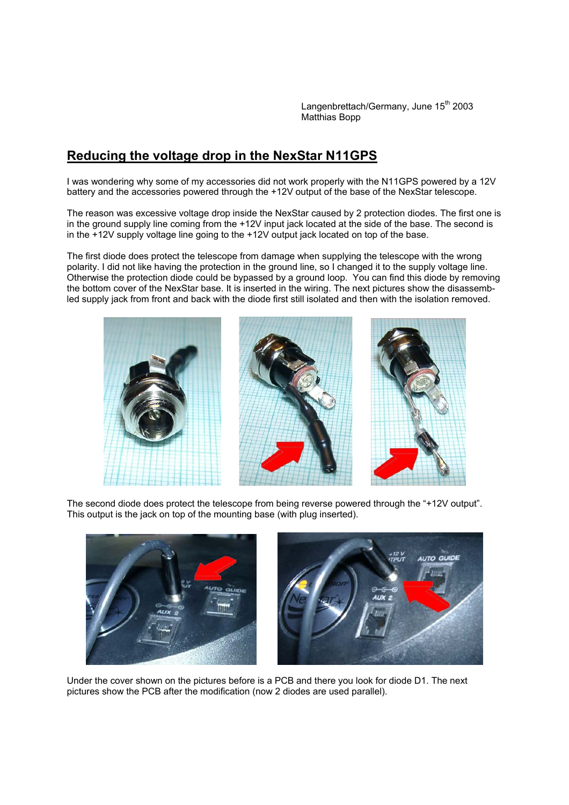Langenbrettach/Germany, June 15<sup>th</sup> 2003 Matthias Bopp

## **Reducing the voltage drop in the NexStar N11GPS**

I was wondering why some of my accessories did not work properly with the N11GPS powered by a 12V battery and the accessories powered through the +12V output of the base of the NexStar telescope.

The reason was excessive voltage drop inside the NexStar caused by 2 protection diodes. The first one is in the ground supply line coming from the +12V input jack located at the side of the base. The second is in the +12V supply voltage line going to the +12V output jack located on top of the base.

The first diode does protect the telescope from damage when supplying the telescope with the wrong polarity. I did not like having the protection in the ground line, so I changed it to the supply voltage line. Otherwise the protection diode could be bypassed by a ground loop. You can find this diode by removing the bottom cover of the NexStar base. It is inserted in the wiring. The next pictures show the disassembled supply jack from front and back with the diode first still isolated and then with the isolation removed.



The second diode does protect the telescope from being reverse powered through the "+12V output". This output is the jack on top of the mounting base (with plug inserted).





Under the cover shown on the pictures before is a PCB and there you look for diode D1. The next pictures show the PCB after the modification (now 2 diodes are used parallel).